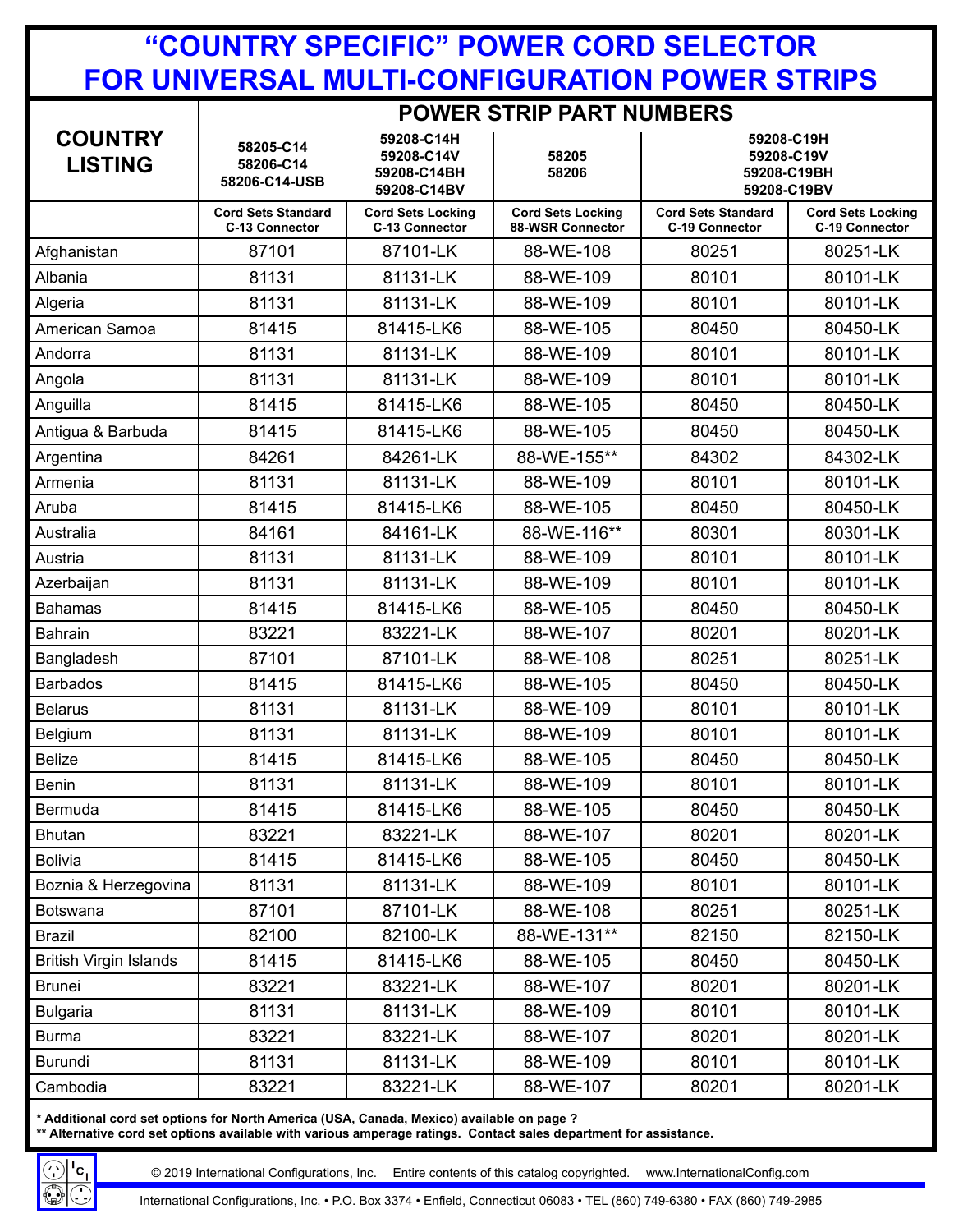|                                  |                                                                                                   | <b>POWER STRIP PART NUMBERS</b>            |                                              |                                                        |                                            |
|----------------------------------|---------------------------------------------------------------------------------------------------|--------------------------------------------|----------------------------------------------|--------------------------------------------------------|--------------------------------------------|
| <b>COUNTRY</b><br><b>LISTING</b> | 59208-C14H<br>58205-C14<br>59208-C14V<br>58206-C14<br>59208-C14BH<br>58206-C14-USB<br>59208-C14BV |                                            | 58205<br>58206                               | 59208-C19H<br>59208-C19V<br>59208-C19BH<br>59208-C19BV |                                            |
|                                  | <b>Cord Sets Standard</b><br><b>C-13 Connector</b>                                                | <b>Cord Sets Locking</b><br>C-13 Connector | <b>Cord Sets Locking</b><br>88-WSR Connector | <b>Cord Sets Standard</b><br>C-19 Connector            | <b>Cord Sets Locking</b><br>C-19 Connector |
| Afghanistan                      | 87101                                                                                             | 87101-LK                                   | 88-WE-108                                    | 80251                                                  | 80251-LK                                   |
| Albania                          | 81131                                                                                             | 81131-LK                                   | 88-WE-109                                    | 80101                                                  | 80101-LK                                   |
| Algeria                          | 81131                                                                                             | 81131-LK                                   | 88-WE-109                                    | 80101                                                  | 80101-LK                                   |
| American Samoa                   | 81415                                                                                             | 81415-LK6                                  | 88-WE-105                                    | 80450                                                  | 80450-LK                                   |
| Andorra                          | 81131                                                                                             | 81131-LK                                   | 88-WE-109                                    | 80101                                                  | 80101-LK                                   |
| Angola                           | 81131                                                                                             | 81131-LK                                   | 88-WE-109                                    | 80101                                                  | 80101-LK                                   |
| Anguilla                         | 81415                                                                                             | 81415-LK6                                  | 88-WE-105                                    | 80450                                                  | 80450-LK                                   |
| Antigua & Barbuda                | 81415                                                                                             | 81415-LK6                                  | 88-WE-105                                    | 80450                                                  | 80450-LK                                   |
| Argentina                        | 84261                                                                                             | 84261-LK                                   | 88-WE-155**                                  | 84302                                                  | 84302-LK                                   |
| Armenia                          | 81131                                                                                             | 81131-LK                                   | 88-WE-109                                    | 80101                                                  | 80101-LK                                   |
| Aruba                            | 81415                                                                                             | 81415-LK6                                  | 88-WE-105                                    | 80450                                                  | 80450-LK                                   |
| Australia                        | 84161                                                                                             | 84161-LK                                   | 88-WE-116**                                  | 80301                                                  | 80301-LK                                   |
| Austria                          | 81131                                                                                             | 81131-LK                                   | 88-WE-109                                    | 80101                                                  | 80101-LK                                   |
| Azerbaijan                       | 81131                                                                                             | 81131-LK                                   | 88-WE-109                                    | 80101                                                  | 80101-LK                                   |
| <b>Bahamas</b>                   | 81415                                                                                             | 81415-LK6                                  | 88-WE-105                                    | 80450                                                  | 80450-LK                                   |
| <b>Bahrain</b>                   | 83221                                                                                             | 83221-LK                                   | 88-WE-107                                    | 80201                                                  | 80201-LK                                   |
| Bangladesh                       | 87101                                                                                             | 87101-LK                                   | 88-WE-108                                    | 80251                                                  | 80251-LK                                   |
| <b>Barbados</b>                  | 81415                                                                                             | 81415-LK6                                  | 88-WE-105                                    | 80450                                                  | 80450-LK                                   |
| <b>Belarus</b>                   | 81131                                                                                             | 81131-LK                                   | 88-WE-109                                    | 80101                                                  | 80101-LK                                   |
| Belgium                          | 81131                                                                                             | 81131-LK                                   | 88-WE-109                                    | 80101                                                  | 80101-LK                                   |
| <b>Belize</b>                    | 81415                                                                                             | 81415-LK6                                  | 88-WE-105                                    | 80450                                                  | 80450-LK                                   |
| Benin                            | 81131                                                                                             | 81131-LK                                   | 88-WE-109                                    | 80101                                                  | 80101-LK                                   |
| Bermuda                          | 81415                                                                                             | 81415-LK6                                  | 88-WE-105                                    | 80450                                                  | 80450-LK                                   |
| <b>Bhutan</b>                    | 83221                                                                                             | 83221-LK                                   | 88-WE-107                                    | 80201                                                  | 80201-LK                                   |
| <b>Bolivia</b>                   | 81415                                                                                             | 81415-LK6                                  | 88-WE-105                                    | 80450                                                  | 80450-LK                                   |
| Boznia & Herzegovina             | 81131                                                                                             | 81131-LK                                   | 88-WE-109                                    | 80101                                                  | 80101-LK                                   |
| Botswana                         | 87101                                                                                             | 87101-LK                                   | 88-WE-108                                    | 80251                                                  | 80251-LK                                   |
| Brazil                           | 82100                                                                                             | 82100-LK                                   | 88-WE-131**                                  | 82150                                                  | 82150-LK                                   |
| <b>British Virgin Islands</b>    | 81415                                                                                             | 81415-LK6                                  | 88-WE-105                                    | 80450                                                  | 80450-LK                                   |
| <b>Brunei</b>                    | 83221                                                                                             | 83221-LK                                   | 88-WE-107                                    | 80201                                                  | 80201-LK                                   |
| <b>Bulgaria</b>                  | 81131                                                                                             | 81131-LK                                   | 88-WE-109                                    | 80101                                                  | 80101-LK                                   |
| <b>Burma</b>                     | 83221                                                                                             | 83221-LK                                   | 88-WE-107                                    | 80201                                                  | 80201-LK                                   |
| Burundi                          | 81131                                                                                             | 81131-LK                                   | 88-WE-109                                    | 80101                                                  | 80101-LK                                   |
| Cambodia                         | 83221                                                                                             | 83221-LK                                   | 88-WE-107                                    | 80201                                                  | 80201-LK                                   |

**\* Additional cord set options for North America (USA, Canada, Mexico) available on page ?**

**\*\* Alternative cord set options available with various amperage ratings. Contact sales department for assistance.**

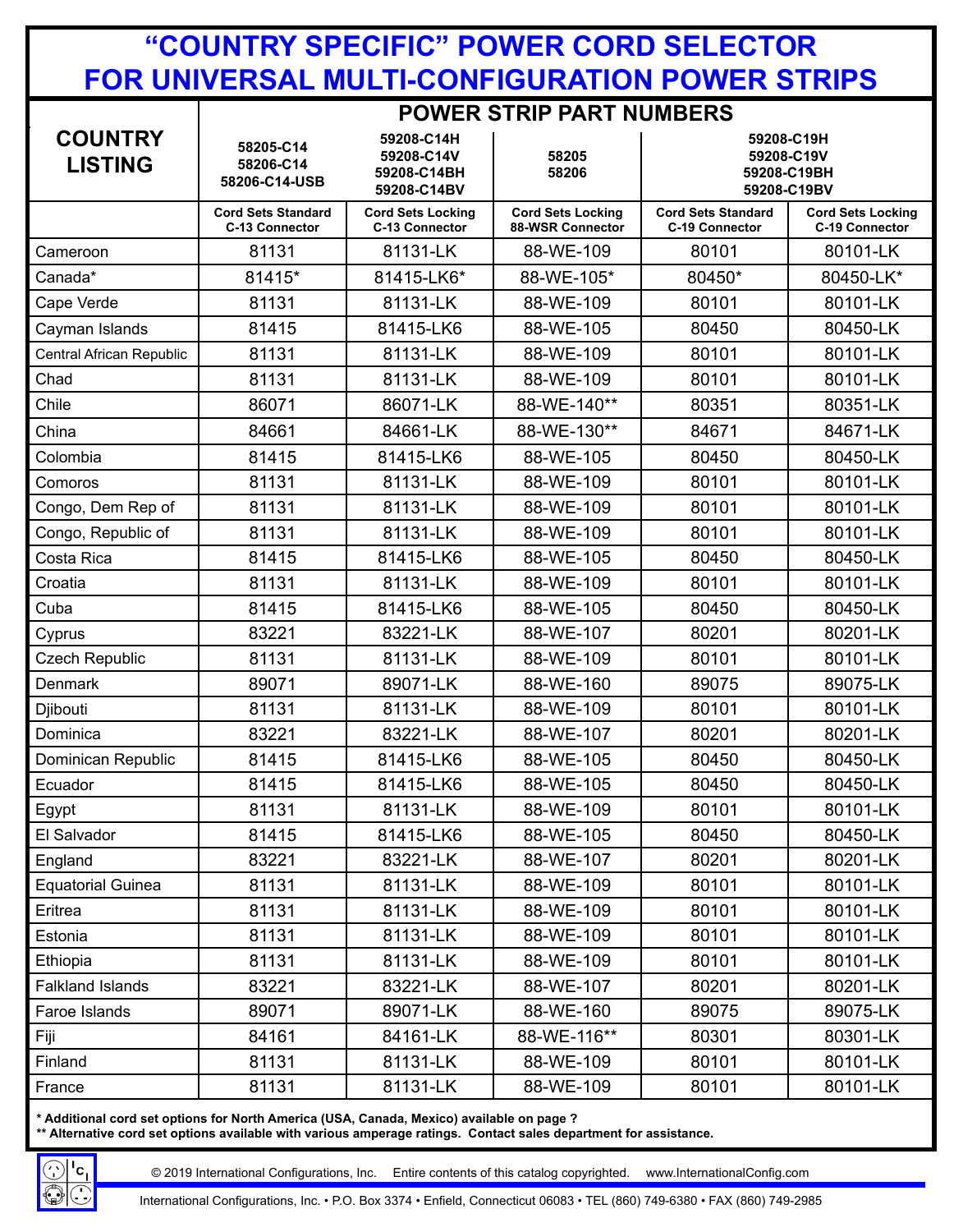|                                  | <b>POWER STRIP PART NUMBERS</b>                                                                   |                                            |                                              |                                                        |                                            |  |  |
|----------------------------------|---------------------------------------------------------------------------------------------------|--------------------------------------------|----------------------------------------------|--------------------------------------------------------|--------------------------------------------|--|--|
| <b>COUNTRY</b><br><b>LISTING</b> | 59208-C14H<br>58205-C14<br>59208-C14V<br>58206-C14<br>59208-C14BH<br>58206-C14-USB<br>59208-C14BV |                                            | 58205<br>58206                               | 59208-C19H<br>59208-C19V<br>59208-C19BH<br>59208-C19BV |                                            |  |  |
|                                  | <b>Cord Sets Standard</b><br><b>C-13 Connector</b>                                                | <b>Cord Sets Locking</b><br>C-13 Connector | <b>Cord Sets Locking</b><br>88-WSR Connector | <b>Cord Sets Standard</b><br><b>C-19 Connector</b>     | <b>Cord Sets Locking</b><br>C-19 Connector |  |  |
| Cameroon                         | 81131                                                                                             | 81131-LK                                   | 88-WE-109                                    | 80101                                                  | 80101-LK                                   |  |  |
| Canada*                          | 81415*                                                                                            | 81415-LK6*                                 | 88-WE-105*                                   | 80450*                                                 | 80450-LK*                                  |  |  |
| Cape Verde                       | 81131                                                                                             | 81131-LK                                   | 88-WE-109                                    | 80101                                                  | 80101-LK                                   |  |  |
| Cayman Islands                   | 81415                                                                                             | 81415-LK6                                  | 88-WE-105                                    | 80450                                                  | 80450-LK                                   |  |  |
| Central African Republic         | 81131                                                                                             | 81131-LK                                   | 88-WE-109                                    | 80101                                                  | 80101-LK                                   |  |  |
| Chad                             | 81131                                                                                             | 81131-LK                                   | 88-WE-109                                    | 80101                                                  | 80101-LK                                   |  |  |
| Chile                            | 86071                                                                                             | 86071-LK                                   | 88-WE-140**                                  | 80351                                                  | 80351-LK                                   |  |  |
| China                            | 84661                                                                                             | 84661-LK                                   | 88-WE-130**                                  | 84671                                                  | 84671-LK                                   |  |  |
| Colombia                         | 81415                                                                                             | 81415-LK6                                  | 88-WE-105                                    | 80450                                                  | 80450-LK                                   |  |  |
| Comoros                          | 81131                                                                                             | 81131-LK                                   | 88-WE-109                                    | 80101                                                  | 80101-LK                                   |  |  |
| Congo, Dem Rep of                | 81131                                                                                             | 81131-LK                                   | 88-WE-109                                    | 80101                                                  | 80101-LK                                   |  |  |
| Congo, Republic of               | 81131                                                                                             | 81131-LK                                   | 88-WE-109                                    | 80101                                                  | 80101-LK                                   |  |  |
| Costa Rica                       | 81415                                                                                             | 81415-LK6                                  | 88-WE-105                                    | 80450                                                  | 80450-LK                                   |  |  |
| Croatia                          | 81131                                                                                             | 81131-LK                                   | 88-WE-109                                    | 80101                                                  | 80101-LK                                   |  |  |
| Cuba                             | 81415                                                                                             | 81415-LK6                                  | 88-WE-105                                    | 80450                                                  | 80450-LK                                   |  |  |
| Cyprus                           | 83221                                                                                             | 83221-LK                                   | 88-WE-107                                    | 80201                                                  | 80201-LK                                   |  |  |
| <b>Czech Republic</b>            | 81131                                                                                             | 81131-LK                                   | 88-WE-109                                    | 80101                                                  | 80101-LK                                   |  |  |
| Denmark                          | 89071                                                                                             | 89071-LK                                   | 88-WE-160                                    | 89075                                                  | 89075-LK                                   |  |  |
| Djibouti                         | 81131                                                                                             | 81131-LK                                   | 88-WE-109                                    | 80101                                                  | 80101-LK                                   |  |  |
| Dominica                         | 83221                                                                                             | 83221-LK                                   | 88-WE-107                                    | 80201                                                  | 80201-LK                                   |  |  |
| Dominican Republic               | 81415                                                                                             | 81415-LK6                                  | 88-WE-105                                    | 80450                                                  | 80450-LK                                   |  |  |
| Ecuador                          | 81415                                                                                             | 81415-LK6                                  | 88-WE-105                                    | 80450                                                  | 80450-LK                                   |  |  |
| Egypt                            | 81131                                                                                             | 81131-LK                                   | 88-WE-109                                    | 80101                                                  | 80101-LK                                   |  |  |
| El Salvador                      | 81415                                                                                             | 81415-LK6                                  | 88-WE-105                                    | 80450                                                  | 80450-LK                                   |  |  |
| England                          | 83221                                                                                             | 83221-LK                                   | 88-WE-107                                    | 80201                                                  | 80201-LK                                   |  |  |
| <b>Equatorial Guinea</b>         | 81131                                                                                             | 81131-LK                                   | 88-WE-109                                    | 80101                                                  | 80101-LK                                   |  |  |
| Eritrea                          | 81131                                                                                             | 81131-LK                                   | 88-WE-109                                    | 80101                                                  | 80101-LK                                   |  |  |
| Estonia                          | 81131                                                                                             | 81131-LK                                   | 88-WE-109                                    | 80101                                                  | 80101-LK                                   |  |  |
| Ethiopia                         | 81131                                                                                             | 81131-LK                                   | 88-WE-109                                    | 80101                                                  | 80101-LK                                   |  |  |
| <b>Falkland Islands</b>          | 83221                                                                                             | 83221-LK                                   | 88-WE-107                                    | 80201                                                  | 80201-LK                                   |  |  |
| Faroe Islands                    | 89071                                                                                             | 89071-LK                                   | 88-WE-160                                    | 89075                                                  | 89075-LK                                   |  |  |
| Fiji                             | 84161                                                                                             | 84161-LK                                   | 88-WE-116**                                  | 80301                                                  | 80301-LK                                   |  |  |
| Finland                          | 81131                                                                                             | 81131-LK                                   | 88-WE-109                                    | 80101                                                  | 80101-LK                                   |  |  |
| France                           | 81131                                                                                             | 81131-LK                                   | 88-WE-109                                    | 80101                                                  | 80101-LK                                   |  |  |

**\* Additional cord set options for North America (USA, Canada, Mexico) available on page ?**

**\*\* Alternative cord set options available with various amperage ratings. Contact sales department for assistance.**



International Configurations, Inc. • P.O. Box 3374 • Enfield, Connecticut 06083 • TEL (860) 749-6380 • FAX (860) 749-2985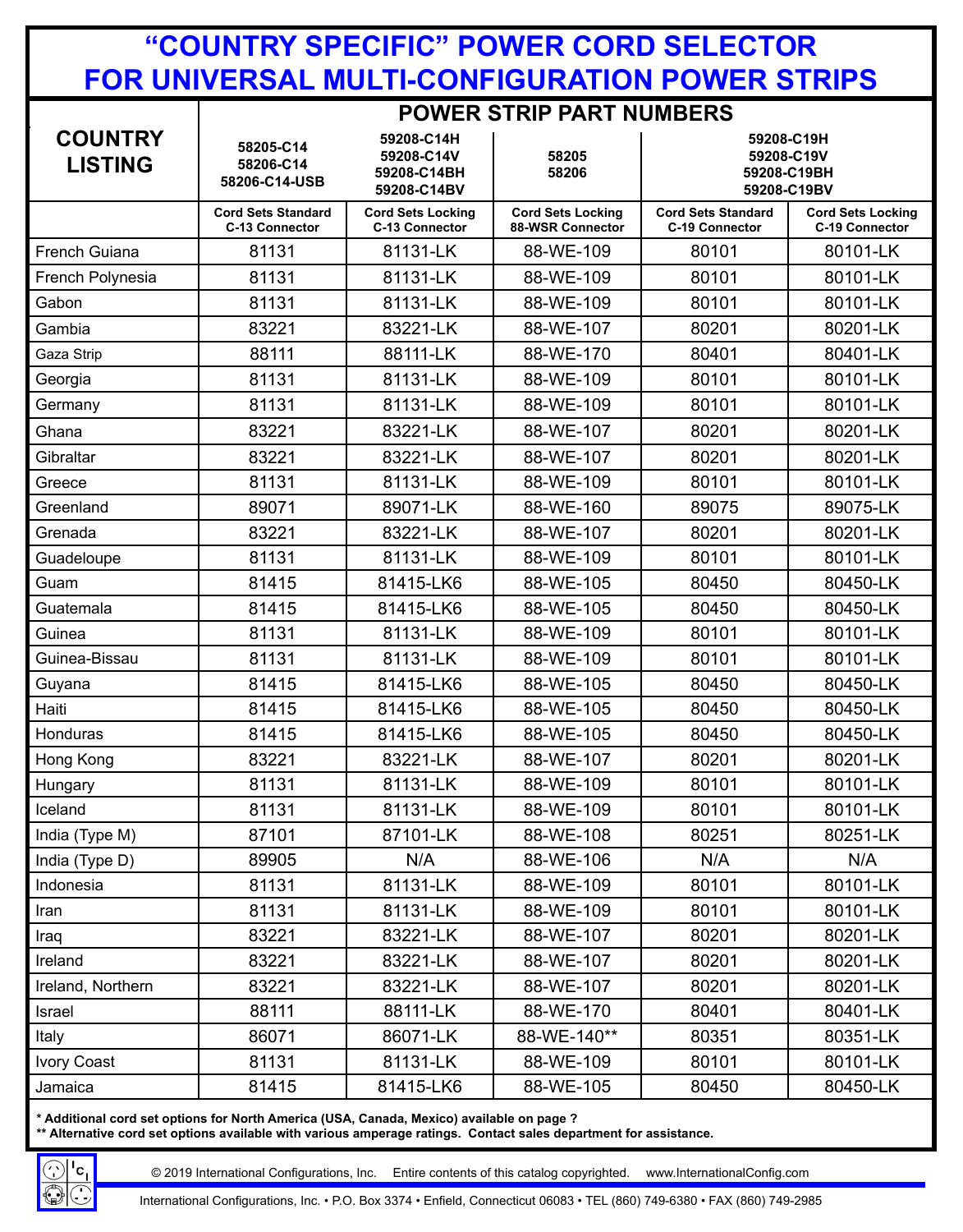#### **"COUNTRY SPECIFIC" POWER CORD SELECTOR FOR UNIVERSAL MULTI-CONFIGURATION POWER STRIPS POWER STRIP PART NUMBERS**

|                                  | POWER STRIP PART NUMBERS                           |                                                        |                                              |                                                    |                                                        |  |  |
|----------------------------------|----------------------------------------------------|--------------------------------------------------------|----------------------------------------------|----------------------------------------------------|--------------------------------------------------------|--|--|
| <b>COUNTRY</b><br><b>LISTING</b> | 58205-C14<br>58206-C14<br>58206-C14-USB            | 59208-C14H<br>59208-C14V<br>59208-C14BH<br>59208-C14BV | 58205<br>58206                               |                                                    | 59208-C19H<br>59208-C19V<br>59208-C19BH<br>59208-C19BV |  |  |
|                                  | <b>Cord Sets Standard</b><br><b>C-13 Connector</b> | <b>Cord Sets Locking</b><br>C-13 Connector             | <b>Cord Sets Locking</b><br>88-WSR Connector | <b>Cord Sets Standard</b><br><b>C-19 Connector</b> | <b>Cord Sets Locking</b><br>C-19 Connector             |  |  |
| French Guiana                    | 81131                                              | 81131-LK                                               | 88-WE-109                                    | 80101                                              | 80101-LK                                               |  |  |
| French Polynesia                 | 81131                                              | 81131-LK                                               | 88-WE-109                                    | 80101                                              | 80101-LK                                               |  |  |
| Gabon                            | 81131                                              | 81131-LK                                               | 88-WE-109                                    | 80101                                              | 80101-LK                                               |  |  |
| Gambia                           | 83221                                              | 83221-LK                                               | 88-WE-107                                    | 80201                                              | 80201-LK                                               |  |  |
| Gaza Strip                       | 88111                                              | 88111-LK                                               | 88-WE-170                                    | 80401                                              | 80401-LK                                               |  |  |
| Georgia                          | 81131                                              | 81131-LK                                               | 88-WE-109                                    | 80101                                              | 80101-LK                                               |  |  |
| Germany                          | 81131                                              | 81131-LK                                               | 88-WE-109                                    | 80101                                              | 80101-LK                                               |  |  |
| Ghana                            | 83221                                              | 83221-LK                                               | 88-WE-107                                    | 80201                                              | 80201-LK                                               |  |  |
| Gibraltar                        | 83221                                              | 83221-LK                                               | 88-WE-107                                    | 80201                                              | 80201-LK                                               |  |  |
| Greece                           | 81131                                              | 81131-LK                                               | 88-WE-109                                    | 80101                                              | 80101-LK                                               |  |  |
| Greenland                        | 89071                                              | 89071-LK                                               | 88-WE-160                                    | 89075                                              | 89075-LK                                               |  |  |
| Grenada                          | 83221                                              | 83221-LK                                               | 88-WE-107                                    | 80201                                              | 80201-LK                                               |  |  |
| Guadeloupe                       | 81131                                              | 81131-LK                                               | 88-WE-109                                    | 80101                                              | 80101-LK                                               |  |  |
| Guam                             | 81415                                              | 81415-LK6                                              | 88-WE-105                                    | 80450                                              | 80450-LK                                               |  |  |
| Guatemala                        | 81415                                              | 81415-LK6                                              | 88-WE-105                                    | 80450                                              | 80450-LK                                               |  |  |
| Guinea                           | 81131                                              | 81131-LK                                               | 88-WE-109                                    | 80101                                              | 80101-LK                                               |  |  |
| Guinea-Bissau                    | 81131                                              | 81131-LK                                               | 88-WE-109                                    | 80101                                              | 80101-LK                                               |  |  |
| Guyana                           | 81415                                              | 81415-LK6                                              | 88-WE-105                                    | 80450                                              | 80450-LK                                               |  |  |
| Haiti                            | 81415                                              | 81415-LK6                                              | 88-WE-105                                    | 80450                                              | 80450-LK                                               |  |  |
| Honduras                         | 81415                                              | 81415-LK6                                              | 88-WE-105                                    | 80450                                              | 80450-LK                                               |  |  |
| Hong Kong                        | 83221                                              | 83221-LK                                               | 88-WE-107                                    | 80201                                              | 80201-LK                                               |  |  |
| Hungary                          | 81131                                              | 81131-LK                                               | 88-WE-109                                    | 80101                                              | 80101-LK                                               |  |  |
| Iceland                          | 81131                                              | 81131-LK                                               | 88-WE-109                                    | 80101                                              | 80101-LK                                               |  |  |
| India (Type M)                   | 87101                                              | 87101-LK                                               | 88-WE-108                                    | 80251                                              | 80251-LK                                               |  |  |
| India (Type D)                   | 89905                                              | N/A                                                    | 88-WE-106                                    | N/A                                                | N/A                                                    |  |  |
| Indonesia                        | 81131                                              | 81131-LK                                               | 88-WE-109                                    | 80101                                              | 80101-LK                                               |  |  |
| Iran                             | 81131                                              | 81131-LK                                               | 88-WE-109                                    | 80101                                              | 80101-LK                                               |  |  |
| Iraq                             | 83221                                              | 83221-LK                                               | 88-WE-107                                    | 80201                                              | 80201-LK                                               |  |  |
| Ireland                          | 83221                                              | 83221-LK                                               | 88-WE-107                                    | 80201                                              | 80201-LK                                               |  |  |
| Ireland, Northern                | 83221                                              | 83221-LK                                               | 88-WE-107                                    | 80201                                              | 80201-LK                                               |  |  |
| Israel                           | 88111                                              | 88111-LK                                               | 88-WE-170                                    | 80401                                              | 80401-LK                                               |  |  |
| Italy                            | 86071                                              | 86071-LK                                               | 88-WE-140**                                  | 80351                                              | 80351-LK                                               |  |  |
| <b>Ivory Coast</b>               | 81131                                              | 81131-LK                                               | 88-WE-109                                    | 80101                                              | 80101-LK                                               |  |  |
| Jamaica                          | 81415                                              | 81415-LK6                                              | 88-WE-105                                    | 80450                                              | 80450-LK                                               |  |  |

**\* Additional cord set options for North America (USA, Canada, Mexico) available on page ?**

**\*\* Alternative cord set options available with various amperage ratings. Contact sales department for assistance.**

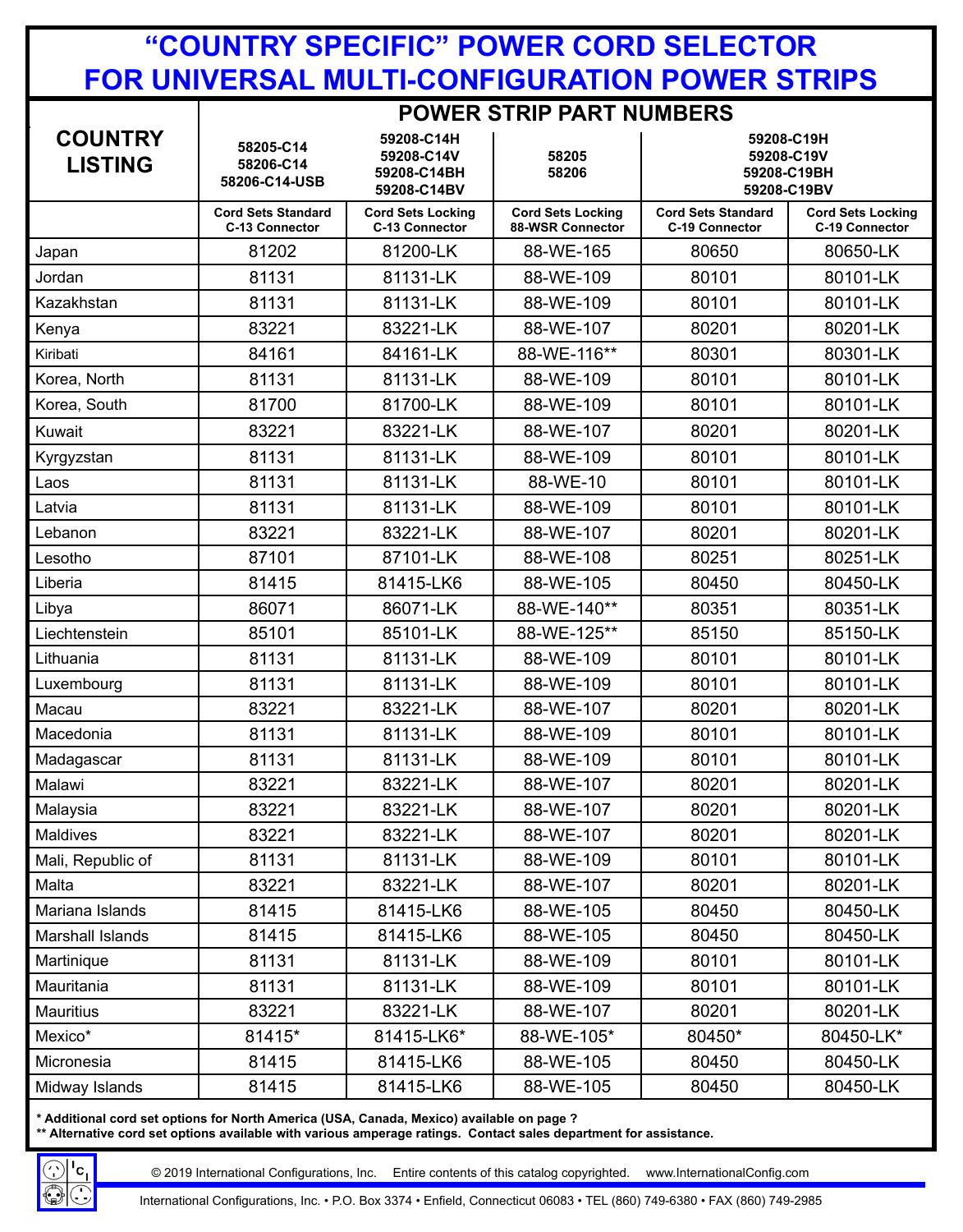|                                  |                                                                                                   | <b>POWER STRIP PART NUMBERS</b>            |                                              |                                                        |                                            |  |  |
|----------------------------------|---------------------------------------------------------------------------------------------------|--------------------------------------------|----------------------------------------------|--------------------------------------------------------|--------------------------------------------|--|--|
| <b>COUNTRY</b><br><b>LISTING</b> | 59208-C14H<br>58205-C14<br>59208-C14V<br>58206-C14<br>59208-C14BH<br>58206-C14-USB<br>59208-C14BV |                                            | 58205<br>58206                               | 59208-C19H<br>59208-C19V<br>59208-C19BH<br>59208-C19BV |                                            |  |  |
|                                  | <b>Cord Sets Standard</b><br><b>C-13 Connector</b>                                                | <b>Cord Sets Locking</b><br>C-13 Connector | <b>Cord Sets Locking</b><br>88-WSR Connector | <b>Cord Sets Standard</b><br><b>C-19 Connector</b>     | <b>Cord Sets Locking</b><br>C-19 Connector |  |  |
| Japan                            | 81202                                                                                             | 81200-LK                                   | 88-WE-165                                    | 80650                                                  | 80650-LK                                   |  |  |
| Jordan                           | 81131                                                                                             | 81131-LK                                   | 88-WE-109                                    | 80101                                                  | 80101-LK                                   |  |  |
| Kazakhstan                       | 81131                                                                                             | 81131-LK                                   | 88-WE-109                                    | 80101                                                  | 80101-LK                                   |  |  |
| Kenya                            | 83221                                                                                             | 83221-LK                                   | 88-WE-107                                    | 80201                                                  | 80201-LK                                   |  |  |
| Kiribati                         | 84161                                                                                             | 84161-LK                                   | 88-WE-116**                                  | 80301                                                  | 80301-LK                                   |  |  |
| Korea, North                     | 81131                                                                                             | 81131-LK                                   | 88-WE-109                                    | 80101                                                  | 80101-LK                                   |  |  |
| Korea, South                     | 81700                                                                                             | 81700-LK                                   | 88-WE-109                                    | 80101                                                  | 80101-LK                                   |  |  |
| Kuwait                           | 83221                                                                                             | 83221-LK                                   | 88-WE-107                                    | 80201                                                  | 80201-LK                                   |  |  |
| Kyrgyzstan                       | 81131                                                                                             | 81131-LK                                   | 88-WE-109                                    | 80101                                                  | 80101-LK                                   |  |  |
| Laos                             | 81131                                                                                             | 81131-LK                                   | 88-WE-10                                     | 80101                                                  | 80101-LK                                   |  |  |
| Latvia                           | 81131                                                                                             | 81131-LK                                   | 88-WE-109                                    | 80101                                                  | 80101-LK                                   |  |  |
| Lebanon                          | 83221                                                                                             | 83221-LK                                   | 88-WE-107                                    | 80201                                                  | 80201-LK                                   |  |  |
| Lesotho                          | 87101                                                                                             | 87101-LK                                   | 88-WE-108                                    | 80251                                                  | 80251-LK                                   |  |  |
| Liberia                          | 81415                                                                                             | 81415-LK6                                  | 88-WE-105                                    | 80450                                                  | 80450-LK                                   |  |  |
| Libya                            | 86071                                                                                             | 86071-LK                                   | 88-WE-140**                                  | 80351                                                  | 80351-LK                                   |  |  |
| Liechtenstein                    | 85101                                                                                             | 85101-LK                                   | 88-WE-125**                                  | 85150                                                  | 85150-LK                                   |  |  |
| Lithuania                        | 81131                                                                                             | 81131-LK                                   | 88-WE-109                                    | 80101                                                  | 80101-LK                                   |  |  |
| Luxembourg                       | 81131                                                                                             | 81131-LK                                   | 88-WE-109                                    | 80101                                                  | 80101-LK                                   |  |  |
| Macau                            | 83221                                                                                             | 83221-LK                                   | 88-WE-107                                    | 80201                                                  | 80201-LK                                   |  |  |
| Macedonia                        | 81131                                                                                             | 81131-LK                                   | 88-WE-109                                    | 80101                                                  | 80101-LK                                   |  |  |
| Madagascar                       | 81131                                                                                             | 81131-LK                                   | 88-WE-109                                    | 80101                                                  | 80101-LK                                   |  |  |
| Malawi                           | 83221                                                                                             | 83221-LK                                   | 88-WE-107                                    | 80201                                                  | 80201-LK                                   |  |  |
| Malaysia                         | 83221                                                                                             | 83221-LK                                   | 88-WE-107                                    | 80201                                                  | 80201-LK                                   |  |  |
| Maldives                         | 83221                                                                                             | 83221-LK                                   | 88-WE-107                                    | 80201                                                  | 80201-LK                                   |  |  |
| Mali, Republic of                | 81131                                                                                             | 81131-LK                                   | 88-WE-109                                    | 80101                                                  | 80101-LK                                   |  |  |
| Malta                            | 83221                                                                                             | 83221-LK                                   | 88-WE-107                                    | 80201                                                  | 80201-LK                                   |  |  |
| Mariana Islands                  | 81415                                                                                             | 81415-LK6                                  | 88-WE-105                                    | 80450                                                  | 80450-LK                                   |  |  |
| Marshall Islands                 | 81415                                                                                             | 81415-LK6                                  | 88-WE-105                                    | 80450                                                  | 80450-LK                                   |  |  |
| Martinique                       | 81131                                                                                             | 81131-LK                                   | 88-WE-109                                    | 80101                                                  | 80101-LK                                   |  |  |
| Mauritania                       | 81131                                                                                             | 81131-LK                                   | 88-WE-109                                    | 80101                                                  | 80101-LK                                   |  |  |
| Mauritius                        | 83221                                                                                             | 83221-LK                                   | 88-WE-107                                    | 80201                                                  | 80201-LK                                   |  |  |
| Mexico*                          | 81415*                                                                                            | 81415-LK6*                                 | 88-WE-105*                                   | 80450*                                                 | 80450-LK*                                  |  |  |
| Micronesia                       | 81415                                                                                             | 81415-LK6                                  | 88-WE-105                                    | 80450                                                  | 80450-LK                                   |  |  |
| Midway Islands                   | 81415                                                                                             | 81415-LK6                                  | 88-WE-105                                    | 80450                                                  | 80450-LK                                   |  |  |

**\* Additional cord set options for North America (USA, Canada, Mexico) available on page ?**

**\*\* Alternative cord set options available with various amperage ratings. Contact sales department for assistance.**

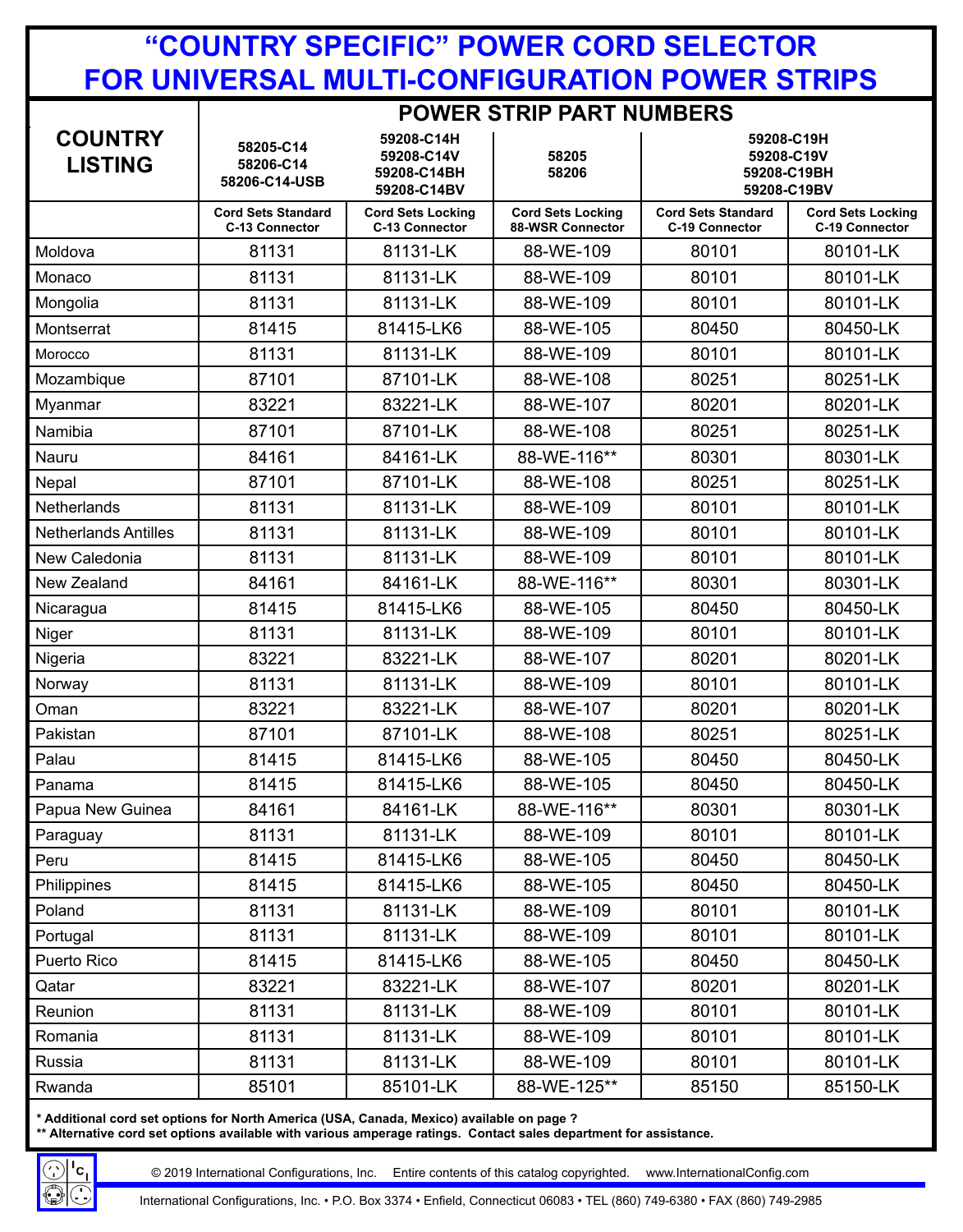|                                  | <b>POWER STRIP PART NUMBERS</b>                                                                   |                                            |                                              |                                                        |                                            |  |
|----------------------------------|---------------------------------------------------------------------------------------------------|--------------------------------------------|----------------------------------------------|--------------------------------------------------------|--------------------------------------------|--|
| <b>COUNTRY</b><br><b>LISTING</b> | 59208-C14H<br>58205-C14<br>59208-C14V<br>58206-C14<br>59208-C14BH<br>58206-C14-USB<br>59208-C14BV |                                            | 58205<br>58206                               | 59208-C19H<br>59208-C19V<br>59208-C19BH<br>59208-C19BV |                                            |  |
|                                  | <b>Cord Sets Standard</b><br><b>C-13 Connector</b>                                                | <b>Cord Sets Locking</b><br>C-13 Connector | <b>Cord Sets Locking</b><br>88-WSR Connector | <b>Cord Sets Standard</b><br><b>C-19 Connector</b>     | <b>Cord Sets Locking</b><br>C-19 Connector |  |
| Moldova                          | 81131                                                                                             | 81131-LK                                   | 88-WE-109                                    | 80101                                                  | 80101-LK                                   |  |
| Monaco                           | 81131                                                                                             | 81131-LK                                   | 88-WE-109                                    | 80101                                                  | 80101-LK                                   |  |
| Mongolia                         | 81131                                                                                             | 81131-LK                                   | 88-WE-109                                    | 80101                                                  | 80101-LK                                   |  |
| Montserrat                       | 81415                                                                                             | 81415-LK6                                  | 88-WE-105                                    | 80450                                                  | 80450-LK                                   |  |
| Morocco                          | 81131                                                                                             | 81131-LK                                   | 88-WE-109                                    | 80101                                                  | 80101-LK                                   |  |
| Mozambique                       | 87101                                                                                             | 87101-LK                                   | 88-WE-108                                    | 80251                                                  | 80251-LK                                   |  |
| Myanmar                          | 83221                                                                                             | 83221-LK                                   | 88-WE-107                                    | 80201                                                  | 80201-LK                                   |  |
| Namibia                          | 87101                                                                                             | 87101-LK                                   | 88-WE-108                                    | 80251                                                  | 80251-LK                                   |  |
| Nauru                            | 84161                                                                                             | 84161-LK                                   | 88-WE-116**                                  | 80301                                                  | 80301-LK                                   |  |
| Nepal                            | 87101                                                                                             | 87101-LK                                   | 88-WE-108                                    | 80251                                                  | 80251-LK                                   |  |
| <b>Netherlands</b>               | 81131                                                                                             | 81131-LK                                   | 88-WE-109                                    | 80101                                                  | 80101-LK                                   |  |
| <b>Netherlands Antilles</b>      | 81131                                                                                             | 81131-LK                                   | 88-WE-109                                    | 80101                                                  | 80101-LK                                   |  |
| New Caledonia                    | 81131                                                                                             | 81131-LK                                   | 88-WE-109                                    | 80101                                                  | 80101-LK                                   |  |
| New Zealand                      | 84161                                                                                             | 84161-LK                                   | 88-WE-116**                                  | 80301                                                  | 80301-LK                                   |  |
| Nicaragua                        | 81415                                                                                             | 81415-LK6                                  | 88-WE-105                                    | 80450                                                  | 80450-LK                                   |  |
| Niger                            | 81131                                                                                             | 81131-LK                                   | 88-WE-109                                    | 80101                                                  | 80101-LK                                   |  |
| Nigeria                          | 83221                                                                                             | 83221-LK                                   | 88-WE-107                                    | 80201                                                  | 80201-LK                                   |  |
| Norway                           | 81131                                                                                             | 81131-LK                                   | 88-WE-109                                    | 80101                                                  | 80101-LK                                   |  |
| Oman                             | 83221                                                                                             | 83221-LK                                   | 88-WE-107                                    | 80201                                                  | 80201-LK                                   |  |
| Pakistan                         | 87101                                                                                             | 87101-LK                                   | 88-WE-108                                    | 80251                                                  | 80251-LK                                   |  |
| Palau                            | 81415                                                                                             | 81415-LK6                                  | 88-WE-105                                    | 80450                                                  | 80450-LK                                   |  |
| Panama                           | 81415                                                                                             | 81415-LK6                                  | 88-WE-105                                    | 80450                                                  | 80450-LK                                   |  |
| Papua New Guinea                 | 84161                                                                                             | 84161-LK                                   | 88-WE-116**                                  | 80301                                                  | 80301-LK                                   |  |
| Paraguay                         | 81131                                                                                             | 81131-LK                                   | 88-WE-109                                    | 80101                                                  | 80101-LK                                   |  |
| Peru                             | 81415                                                                                             | 81415-LK6                                  | 88-WE-105                                    | 80450                                                  | 80450-LK                                   |  |
| Philippines                      | 81415                                                                                             | 81415-LK6                                  | 88-WE-105                                    | 80450                                                  | 80450-LK                                   |  |
| Poland                           | 81131                                                                                             | 81131-LK                                   | 88-WE-109                                    | 80101                                                  | 80101-LK                                   |  |
| Portugal                         | 81131                                                                                             | 81131-LK                                   | 88-WE-109                                    | 80101                                                  | 80101-LK                                   |  |
| Puerto Rico                      | 81415                                                                                             | 81415-LK6                                  | 88-WE-105                                    | 80450                                                  | 80450-LK                                   |  |
| Qatar                            | 83221                                                                                             | 83221-LK                                   | 88-WE-107                                    | 80201                                                  | 80201-LK                                   |  |
| Reunion                          | 81131                                                                                             | 81131-LK                                   | 88-WE-109                                    | 80101                                                  | 80101-LK                                   |  |
| Romania                          | 81131                                                                                             | 81131-LK                                   | 88-WE-109                                    | 80101                                                  | 80101-LK                                   |  |
| Russia                           | 81131                                                                                             | 81131-LK                                   | 88-WE-109                                    | 80101                                                  | 80101-LK                                   |  |
| Rwanda                           | 85101                                                                                             | 85101-LK                                   | 88-WE-125**                                  | 85150                                                  | 85150-LK                                   |  |

**\* Additional cord set options for North America (USA, Canada, Mexico) available on page ?**

**\*\* Alternative cord set options available with various amperage ratings. Contact sales department for assistance.**



International Configurations, Inc. • P.O. Box 3374 • Enfield, Connecticut 06083 • TEL (860) 749-6380 • FAX (860) 749-2985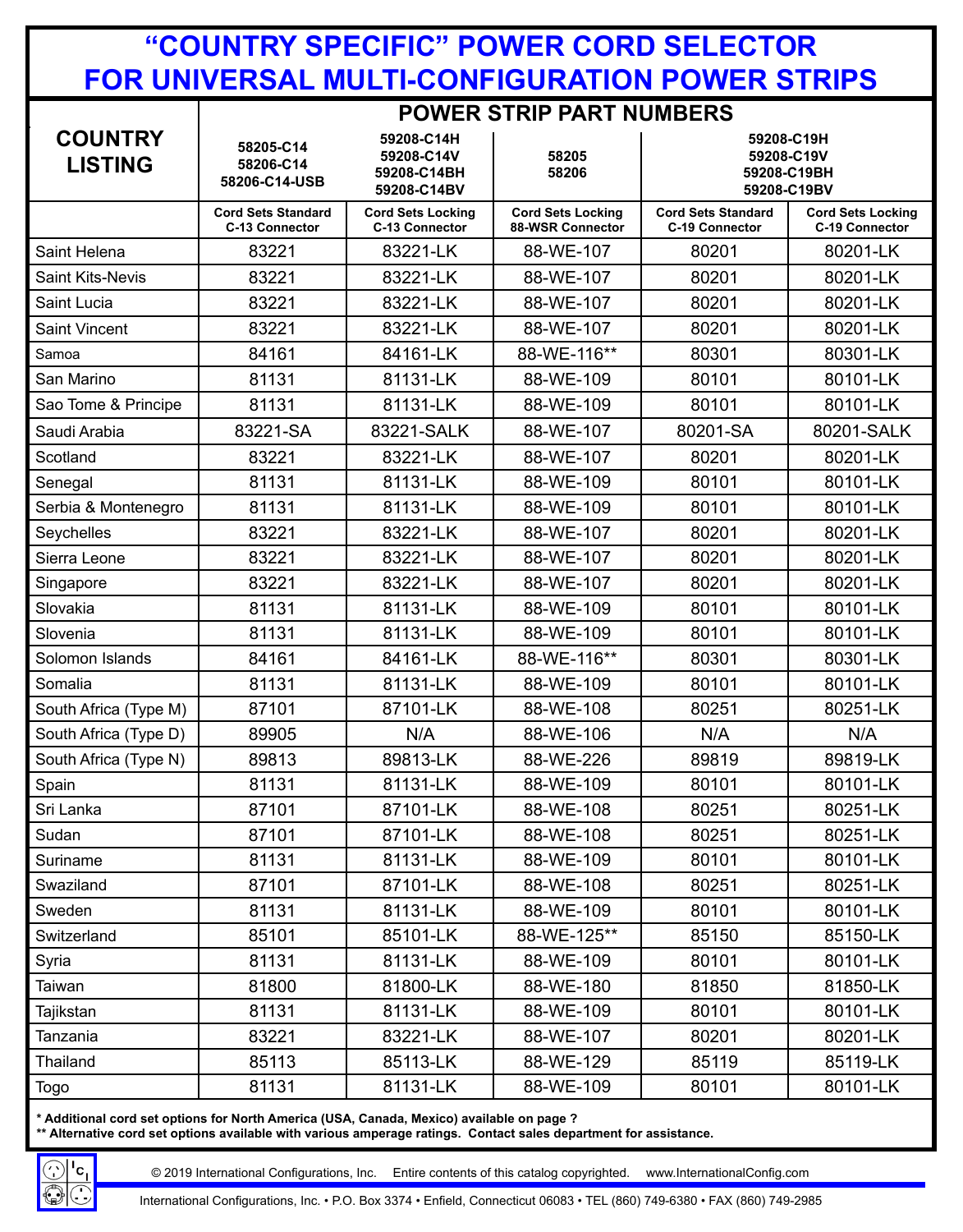|                                  | <b>POWER STRIP PART NUMBERS</b>                                                                   |                                            |                                              |                                                        |                                            |  |
|----------------------------------|---------------------------------------------------------------------------------------------------|--------------------------------------------|----------------------------------------------|--------------------------------------------------------|--------------------------------------------|--|
| <b>COUNTRY</b><br><b>LISTING</b> | 59208-C14H<br>58205-C14<br>59208-C14V<br>58206-C14<br>59208-C14BH<br>58206-C14-USB<br>59208-C14BV |                                            | 58205<br>58206                               | 59208-C19H<br>59208-C19V<br>59208-C19BH<br>59208-C19BV |                                            |  |
|                                  | <b>Cord Sets Standard</b><br><b>C-13 Connector</b>                                                | <b>Cord Sets Locking</b><br>C-13 Connector | <b>Cord Sets Locking</b><br>88-WSR Connector | <b>Cord Sets Standard</b><br><b>C-19 Connector</b>     | <b>Cord Sets Locking</b><br>C-19 Connector |  |
| Saint Helena                     | 83221                                                                                             | 83221-LK                                   | 88-WE-107                                    | 80201                                                  | 80201-LK                                   |  |
| <b>Saint Kits-Nevis</b>          | 83221                                                                                             | 83221-LK                                   | 88-WE-107                                    | 80201                                                  | 80201-LK                                   |  |
| Saint Lucia                      | 83221                                                                                             | 83221-LK                                   | 88-WE-107                                    | 80201                                                  | 80201-LK                                   |  |
| <b>Saint Vincent</b>             | 83221                                                                                             | 83221-LK                                   | 88-WE-107                                    | 80201                                                  | 80201-LK                                   |  |
| Samoa                            | 84161                                                                                             | 84161-LK                                   | 88-WE-116**                                  | 80301                                                  | 80301-LK                                   |  |
| San Marino                       | 81131                                                                                             | 81131-LK                                   | 88-WE-109                                    | 80101                                                  | 80101-LK                                   |  |
| Sao Tome & Principe              | 81131                                                                                             | 81131-LK                                   | 88-WE-109                                    | 80101                                                  | 80101-LK                                   |  |
| Saudi Arabia                     | 83221-SA                                                                                          | 83221-SALK                                 | 88-WE-107                                    | 80201-SA                                               | 80201-SALK                                 |  |
| Scotland                         | 83221                                                                                             | 83221-LK                                   | 88-WE-107                                    | 80201                                                  | 80201-LK                                   |  |
| Senegal                          | 81131                                                                                             | 81131-LK                                   | 88-WE-109                                    | 80101                                                  | 80101-LK                                   |  |
| Serbia & Montenegro              | 81131                                                                                             | 81131-LK                                   | 88-WE-109                                    | 80101                                                  | 80101-LK                                   |  |
| Seychelles                       | 83221                                                                                             | 83221-LK                                   | 88-WE-107                                    | 80201                                                  | 80201-LK                                   |  |
| Sierra Leone                     | 83221                                                                                             | 83221-LK                                   | 88-WE-107                                    | 80201                                                  | 80201-LK                                   |  |
| Singapore                        | 83221                                                                                             | 83221-LK                                   | 88-WE-107                                    | 80201                                                  | 80201-LK                                   |  |
| Slovakia                         | 81131                                                                                             | 81131-LK                                   | 88-WE-109                                    | 80101                                                  | 80101-LK                                   |  |
| Slovenia                         | 81131                                                                                             | 81131-LK                                   | 88-WE-109                                    | 80101                                                  | 80101-LK                                   |  |
| Solomon Islands                  | 84161                                                                                             | 84161-LK                                   | 88-WE-116**                                  | 80301                                                  | 80301-LK                                   |  |
| Somalia                          | 81131                                                                                             | 81131-LK                                   | 88-WE-109                                    | 80101                                                  | 80101-LK                                   |  |
| South Africa (Type M)            | 87101                                                                                             | 87101-LK                                   | 88-WE-108                                    | 80251                                                  | 80251-LK                                   |  |
| South Africa (Type D)            | 89905                                                                                             | N/A                                        | 88-WE-106                                    | N/A                                                    | N/A                                        |  |
| South Africa (Type N)            | 89813                                                                                             | 89813-LK                                   | 88-WE-226                                    | 89819                                                  | 89819-LK                                   |  |
| Spain                            | 81131                                                                                             | 81131-LK                                   | 88-WE-109                                    | 80101                                                  | 80101-LK                                   |  |
| Sri Lanka                        | 87101                                                                                             | 87101-LK                                   | 88-WE-108                                    | 80251                                                  | 80251-LK                                   |  |
| Sudan                            | 87101                                                                                             | 87101-LK                                   | 88-WE-108                                    | 80251                                                  | 80251-LK                                   |  |
| Suriname                         | 81131                                                                                             | 81131-LK                                   | 88-WE-109                                    | 80101                                                  | 80101-LK                                   |  |
| Swaziland                        | 87101                                                                                             | 87101-LK                                   | 88-WE-108                                    | 80251                                                  | 80251-LK                                   |  |
| Sweden                           | 81131                                                                                             | 81131-LK                                   | 88-WE-109                                    | 80101                                                  | 80101-LK                                   |  |
| Switzerland                      | 85101                                                                                             | 85101-LK                                   | 88-WE-125**                                  | 85150                                                  | 85150-LK                                   |  |
| Syria                            | 81131                                                                                             | 81131-LK                                   | 88-WE-109                                    | 80101                                                  | 80101-LK                                   |  |
| Taiwan                           | 81800                                                                                             | 81800-LK                                   | 88-WE-180                                    | 81850                                                  | 81850-LK                                   |  |
| Tajikstan                        | 81131                                                                                             | 81131-LK                                   | 88-WE-109                                    | 80101                                                  | 80101-LK                                   |  |
| Tanzania                         | 83221                                                                                             | 83221-LK                                   | 88-WE-107                                    | 80201                                                  | 80201-LK                                   |  |
| Thailand                         | 85113                                                                                             | 85113-LK                                   | 88-WE-129                                    | 85119                                                  | 85119-LK                                   |  |
| Togo                             | 81131                                                                                             | 81131-LK                                   | 88-WE-109                                    | 80101                                                  | 80101-LK                                   |  |

**\* Additional cord set options for North America (USA, Canada, Mexico) available on page ?**

**\*\* Alternative cord set options available with various amperage ratings. Contact sales department for assistance.**